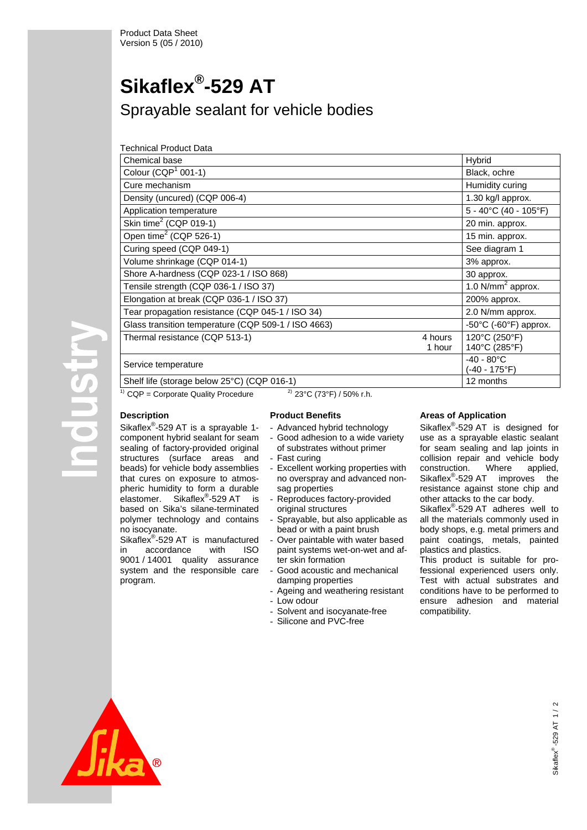# **Sikaflex®-529 AT**

Sprayable sealant for vehicle bodies

| Technical Product Data                              |                   |                                           |
|-----------------------------------------------------|-------------------|-------------------------------------------|
| Chemical base                                       |                   | Hybrid                                    |
| Colour (CQP $1$ 001-1)                              |                   | Black, ochre                              |
| Cure mechanism                                      |                   | Humidity curing                           |
| Density (uncured) (CQP 006-4)                       |                   | 1.30 kg/l approx.                         |
| Application temperature                             |                   | 5 - 40°C (40 - 105°F)                     |
| Skin time $2$ (CQP 019-1)                           |                   | 20 min. approx.                           |
| Open time <sup>2</sup> (CQP 526-1)                  |                   | 15 min. approx.                           |
| Curing speed (CQP 049-1)                            |                   | See diagram 1                             |
| Volume shrinkage (CQP 014-1)                        |                   | 3% approx.                                |
| Shore A-hardness (CQP 023-1 / ISO 868)              |                   | 30 approx.                                |
| Tensile strength (CQP 036-1 / ISO 37)               |                   | 1.0 $N/mm2$ approx.                       |
| Elongation at break (CQP 036-1 / ISO 37)            |                   | 200% approx.                              |
| Tear propagation resistance (CQP 045-1 / ISO 34)    |                   | 2.0 N/mm approx.                          |
| Glass transition temperature (CQP 509-1 / ISO 4663) |                   | -50 $\degree$ C (-60 $\degree$ F) approx. |
| Thermal resistance (CQP 513-1)                      | 4 hours<br>1 hour | 120°C (250°F)<br>140°C (285°F)            |
| Service temperature                                 |                   | $-40 - 80^{\circ}$ C<br>(-40 - 175°F)     |
| Shelf life (storage below 25°C) (CQP 016-1)         |                   | 12 months                                 |

**POUSIT** 

<sup>1)</sup> CQP = Corporate Quality Procedure <sup>2)</sup> 23°C (73°F) / 50% r.h.

# **Description**

Sikaflex<sup>®</sup>-529 AT is a sprayable 1component hybrid sealant for seam sealing of factory-provided original structures (surface areas and beads) for vehicle body assemblies that cures on exposure to atmospheric humidity to form a durable elastomer. Sikaflex<sup>®</sup>-529 AT is based on Sika's silane-terminated polymer technology and contains no isocyanate.

Sikaflex<sup>®</sup>-529 AT is manufactured in accordance with ISO 9001 / 14001 quality assurance system and the responsible care program.

## **Product Benefits**

- Advanced hybrid technology
- Good adhesion to a wide variety of substrates without primer
- Fast curing
- Excellent working properties with no overspray and advanced nonsag properties
- Reproduces factory-provided original structures
- Sprayable, but also applicable as bead or with a paint brush
- Over paintable with water based paint systems wet-on-wet and after skin formation
- Good acoustic and mechanical damping properties
- Ageing and weathering resistant
- Low odour
- Solvent and isocyanate-free
- Silicone and PVC-free

# **Areas of Application**

Sikaflex<sup>®</sup>-529 AT is designed for use as a sprayable elastic sealant for seam sealing and lap joints in collision repair and vehicle body<br>construction. Where applied. construction. Where applied, Sikaflex<sup>®</sup>-529 AT improves the resistance against stone chip and other attacks to the car body.

Sikaflex<sup>®</sup>-529 AT adheres well to all the materials commonly used in body shops, e.g. metal primers and paint coatings, metals, painted plastics and plastics.

This product is suitable for professional experienced users only. Test with actual substrates and conditions have to be performed to ensure adhesion and material compatibility.